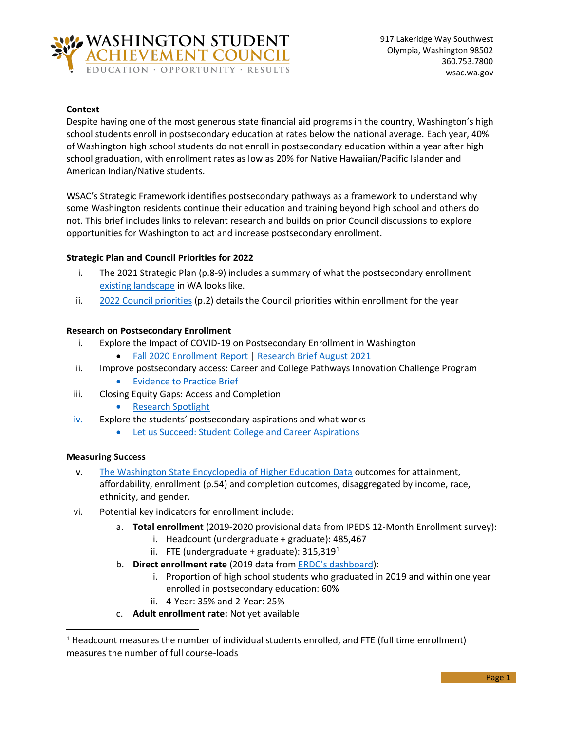

### **Context**

Despite having one of the most generous state financial aid programs in the country, Washington's high school students enroll in postsecondary education at rates below the national average. Each year, 40% of Washington high school students do not enroll in postsecondary education within a year after high school graduation, with enrollment rates as low as 20% for Native Hawaiian/Pacific Islander and American Indian/Native students.

WSAC's Strategic Framework identifies postsecondary pathways as a framework to understand why some Washington residents continue their education and training beyond high school and others do not. This brief includes links to relevant research and builds on prior Council discussions to explore opportunities for Washington to act and increase postsecondary enrollment.

# **Strategic Plan and Council Priorities for 2022**

- i. The 2021 Strategic Plan (p.8-9) includes a summary of what the postsecondary enrollment [existing landscape](https://wsac.wa.gov/sites/default/files/2021-Strategic-Action-Plan.pdf) in WA looks like.
- ii. [2022 Council priorities](https://wsac.wa.gov/sites/default/files/2022-01-24-0121-Priorities-Brief.pdf) (p.2) details the Council priorities within enrollment for the year

# **Research on Postsecondary Enrollment**

- i. Explore the Impact of COVID-19 on Postsecondary Enrollment in Washington
	- [Fall 2020 Enrollment Report](https://wsac.wa.gov/sites/default/files/2021-01-12-Fall-Enrollment-Report.pdf) | [Research Brief August 2021](https://wsac.wa.gov/sites/default/files/2021-08-04-Postsecondary-Enrollment-Trends.pdf)
- ii. Improve postsecondary access: Career and College Pathways Innovation Challenge Program
	- [Evidence to Practice Brief](https://wsac.wa.gov/sites/default/files/2021-12-Innovation-Challenge-Brief.pdf)
- iii. Closing Equity Gaps: Access and Completion
	- [Research Spotlight](https://wsac.wa.gov/sites/default/files/2020-01-19-Closing-Gaps-Postsecondary-Transitions.pdf)
- iv. Explore the students' postsecondary aspirations and what works
	- [Let us Succeed: Student College and Career Aspirations](https://roadmapproject.org/wp-content/uploads/2019/06/Let-Us-Succeed.pdf)

# **Measuring Success**

- v. [The Washington State Encyclopedia of Higher Education Data](https://wsac.wa.gov/sites/default/files/WSAC-Education-Data-Encyclopedia.pdf) outcomes for attainment, affordability, enrollment (p.54) and completion outcomes, disaggregated by income, race, ethnicity, and gender.
- vi. Potential key indicators for enrollment include:
	- a. **Total enrollment** (2019-2020 provisional data from IPEDS 12-Month Enrollment survey):
		- i. Headcount (undergraduate + graduate): 485,467
		- ii. FTE (undergraduate + graduate):  $315,319<sup>1</sup>$
	- b. **Direct enrollment rate** (2019 data from [ERDC's dashboard](https://gcc02.safelinks.protection.outlook.com/?url=https%3A%2F%2Ferdc.wa.gov%2Fdata-dashboards%2Fhigh-school-graduate-outcomes&data=04%7C01%7Cheatherhu%40wsac.wa.gov%7C895490e5223c4e8406ed08da0099e794%7C11d0e217264e400a8ba057dcc127d72d%7C0%7C0%7C637822958249738390%7CUnknown%7CTWFpbGZsb3d8eyJWIjoiMC4wLjAwMDAiLCJQIjoiV2luMzIiLCJBTiI6Ik1haWwiLCJXVCI6Mn0%3D%7C3000&sdata=lLDx0fgV86c36QCB7qjy0FgxRZ%2B2QvhvHUOwjEBMnFs%3D&reserved=0)):
		- i. Proportion of high school students who graduated in 2019 and within one year enrolled in postsecondary education: 60%
		- ii. 4-Year: 35% and 2-Year: 25%
	- c. **Adult enrollment rate:** Not yet available

 $<sup>1</sup>$  Headcount measures the number of individual students enrolled, and FTE (full time enrollment)</sup> measures the number of full course-loads